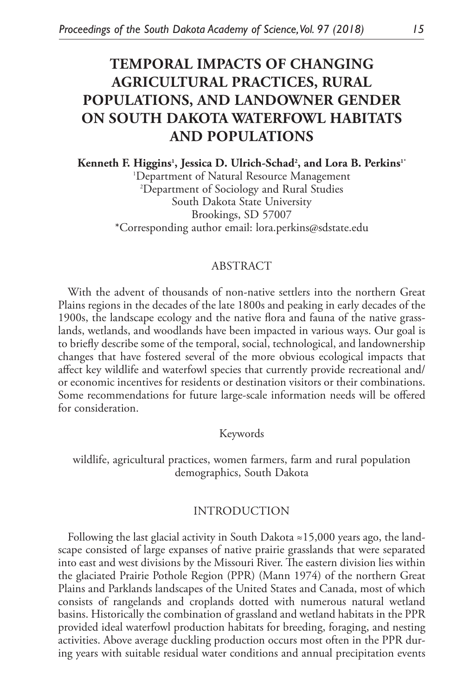# **TEMPORAL IMPACTS OF CHANGING AGRICULTURAL PRACTICES, RURAL POPULATIONS, AND LANDOWNER GENDER ON SOUTH DAKOTA WATERFOWL HABITATS AND POPULATIONS**

Kenneth F. Higgins<sup>1</sup>, Jessica D. Ulrich-Schad<sup>2</sup>, and Lora B. Perkins<sup>1</sup>\* 1 Department of Natural Resource Management 2 Department of Sociology and Rural Studies South Dakota State University Brookings, SD 57007 \*Corresponding author email: lora.perkins@sdstate.edu

## ABSTRACT

With the advent of thousands of non-native settlers into the northern Great Plains regions in the decades of the late 1800s and peaking in early decades of the 1900s, the landscape ecology and the native flora and fauna of the native grasslands, wetlands, and woodlands have been impacted in various ways. Our goal is to briefly describe some of the temporal, social, technological, and landownership changes that have fostered several of the more obvious ecological impacts that affect key wildlife and waterfowl species that currently provide recreational and/ or economic incentives for residents or destination visitors or their combinations. Some recommendations for future large-scale information needs will be offered for consideration.

Keywords

wildlife, agricultural practices, women farmers, farm and rural population demographics, South Dakota

#### INTRODUCTION

Following the last glacial activity in South Dakota ≈15,000 years ago, the landscape consisted of large expanses of native prairie grasslands that were separated into east and west divisions by the Missouri River. The eastern division lies within the glaciated Prairie Pothole Region (PPR) (Mann 1974) of the northern Great Plains and Parklands landscapes of the United States and Canada, most of which consists of rangelands and croplands dotted with numerous natural wetland basins. Historically the combination of grassland and wetland habitats in the PPR provided ideal waterfowl production habitats for breeding, foraging, and nesting activities. Above average duckling production occurs most often in the PPR during years with suitable residual water conditions and annual precipitation events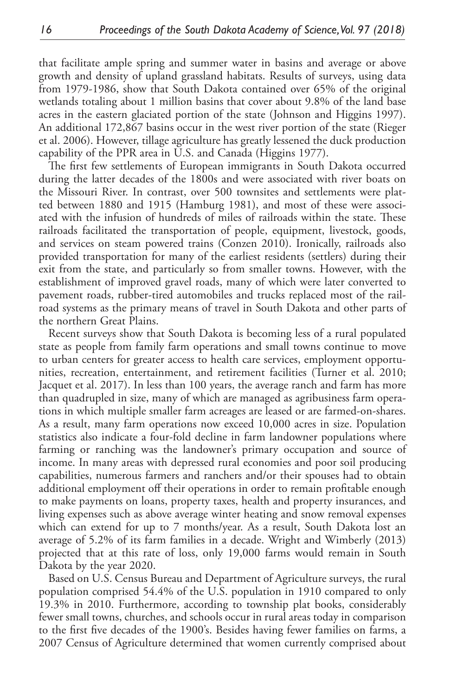that facilitate ample spring and summer water in basins and average or above growth and density of upland grassland habitats. Results of surveys, using data from 1979-1986, show that South Dakota contained over 65% of the original wetlands totaling about 1 million basins that cover about 9.8% of the land base acres in the eastern glaciated portion of the state (Johnson and Higgins 1997). An additional 172,867 basins occur in the west river portion of the state (Rieger et al. 2006). However, tillage agriculture has greatly lessened the duck production capability of the PPR area in U.S. and Canada (Higgins 1977).

The first few settlements of European immigrants in South Dakota occurred during the latter decades of the 1800s and were associated with river boats on the Missouri River. In contrast, over 500 townsites and settlements were platted between 1880 and 1915 (Hamburg 1981), and most of these were associated with the infusion of hundreds of miles of railroads within the state. These railroads facilitated the transportation of people, equipment, livestock, goods, and services on steam powered trains (Conzen 2010). Ironically, railroads also provided transportation for many of the earliest residents (settlers) during their exit from the state, and particularly so from smaller towns. However, with the establishment of improved gravel roads, many of which were later converted to pavement roads, rubber-tired automobiles and trucks replaced most of the railroad systems as the primary means of travel in South Dakota and other parts of the northern Great Plains.

Recent surveys show that South Dakota is becoming less of a rural populated state as people from family farm operations and small towns continue to move to urban centers for greater access to health care services, employment opportunities, recreation, entertainment, and retirement facilities (Turner et al. 2010; Jacquet et al. 2017). In less than 100 years, the average ranch and farm has more than quadrupled in size, many of which are managed as agribusiness farm operations in which multiple smaller farm acreages are leased or are farmed-on-shares. As a result, many farm operations now exceed 10,000 acres in size. Population statistics also indicate a four-fold decline in farm landowner populations where farming or ranching was the landowner's primary occupation and source of income. In many areas with depressed rural economies and poor soil producing capabilities, numerous farmers and ranchers and/or their spouses had to obtain additional employment off their operations in order to remain profitable enough to make payments on loans, property taxes, health and property insurances, and living expenses such as above average winter heating and snow removal expenses which can extend for up to 7 months/year. As a result, South Dakota lost an average of 5.2% of its farm families in a decade. Wright and Wimberly (2013) projected that at this rate of loss, only 19,000 farms would remain in South Dakota by the year 2020.

Based on U.S. Census Bureau and Department of Agriculture surveys, the rural population comprised 54.4% of the U.S. population in 1910 compared to only 19.3% in 2010. Furthermore, according to township plat books, considerably fewer small towns, churches, and schools occur in rural areas today in comparison to the first five decades of the 1900's. Besides having fewer families on farms, a 2007 Census of Agriculture determined that women currently comprised about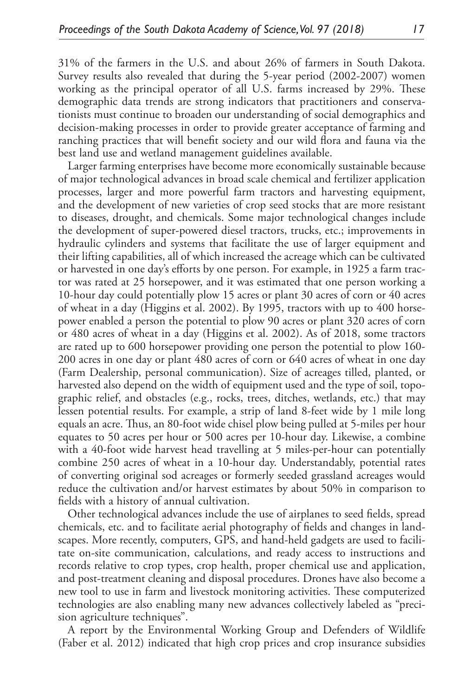31% of the farmers in the U.S. and about 26% of farmers in South Dakota. Survey results also revealed that during the 5-year period (2002-2007) women working as the principal operator of all U.S. farms increased by 29%. These demographic data trends are strong indicators that practitioners and conservationists must continue to broaden our understanding of social demographics and decision-making processes in order to provide greater acceptance of farming and ranching practices that will benefit society and our wild flora and fauna via the best land use and wetland management guidelines available.

Larger farming enterprises have become more economically sustainable because of major technological advances in broad scale chemical and fertilizer application processes, larger and more powerful farm tractors and harvesting equipment, and the development of new varieties of crop seed stocks that are more resistant to diseases, drought, and chemicals. Some major technological changes include the development of super-powered diesel tractors, trucks, etc.; improvements in hydraulic cylinders and systems that facilitate the use of larger equipment and their lifting capabilities, all of which increased the acreage which can be cultivated or harvested in one day's efforts by one person. For example, in 1925 a farm tractor was rated at 25 horsepower, and it was estimated that one person working a 10-hour day could potentially plow 15 acres or plant 30 acres of corn or 40 acres of wheat in a day (Higgins et al. 2002). By 1995, tractors with up to 400 horsepower enabled a person the potential to plow 90 acres or plant 320 acres of corn or 480 acres of wheat in a day (Higgins et al. 2002). As of 2018, some tractors are rated up to 600 horsepower providing one person the potential to plow 160- 200 acres in one day or plant 480 acres of corn or 640 acres of wheat in one day (Farm Dealership, personal communication). Size of acreages tilled, planted, or harvested also depend on the width of equipment used and the type of soil, topographic relief, and obstacles (e.g., rocks, trees, ditches, wetlands, etc.) that may lessen potential results. For example, a strip of land 8-feet wide by 1 mile long equals an acre. Thus, an 80-foot wide chisel plow being pulled at 5-miles per hour equates to 50 acres per hour or 500 acres per 10-hour day. Likewise, a combine with a 40-foot wide harvest head travelling at 5 miles-per-hour can potentially combine 250 acres of wheat in a 10-hour day. Understandably, potential rates of converting original sod acreages or formerly seeded grassland acreages would reduce the cultivation and/or harvest estimates by about 50% in comparison to fields with a history of annual cultivation.

Other technological advances include the use of airplanes to seed fields, spread chemicals, etc. and to facilitate aerial photography of fields and changes in landscapes. More recently, computers, GPS, and hand-held gadgets are used to facilitate on-site communication, calculations, and ready access to instructions and records relative to crop types, crop health, proper chemical use and application, and post-treatment cleaning and disposal procedures. Drones have also become a new tool to use in farm and livestock monitoring activities. These computerized technologies are also enabling many new advances collectively labeled as "precision agriculture techniques".

A report by the Environmental Working Group and Defenders of Wildlife (Faber et al. 2012) indicated that high crop prices and crop insurance subsidies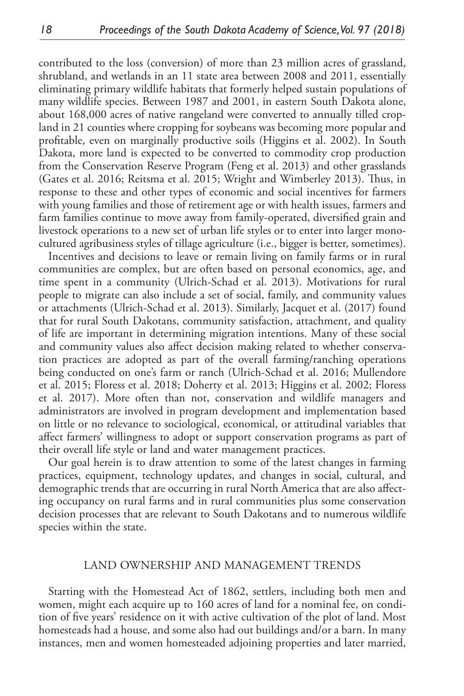contributed to the loss (conversion) of more than 23 million acres of grassland, shrubland, and wetlands in an 11 state area between 2008 and 2011, essentially eliminating primary wildlife habitats that formerly helped sustain populations of many wildlife species. Between 1987 and 2001, in eastern South Dakota alone, about 168,000 acres of native rangeland were converted to annually tilled cropland in 21 counties where cropping for soybeans was becoming more popular and profitable, even on marginally productive soils (Higgins et al. 2002). In South Dakota, more land is expected to be converted to commodity crop production from the Conservation Reserve Program (Feng et al. 2013) and other grasslands (Gates et al. 2016; Reitsma et al. 2015; Wright and Wimberley 2013). Thus, in response to these and other types of economic and social incentives for farmers with young families and those of retirement age or with health issues, farmers and farm families continue to move away from family-operated, diversified grain and livestock operations to a new set of urban life styles or to enter into larger monocultured agribusiness styles of tillage agriculture (i.e., bigger is better, sometimes).

Incentives and decisions to leave or remain living on family farms or in rural communities are complex, but are often based on personal economics, age, and time spent in a community (Ulrich-Schad et al. 2013). Motivations for rural people to migrate can also include a set of social, family, and community values or attachments (Ulrich-Schad et al. 2013). Similarly, Jacquet et al. (2017) found that for rural South Dakotans, community satisfaction, attachment, and quality of life are important in determining migration intentions. Many of these social and community values also affect decision making related to whether conservation practices are adopted as part of the overall farming/ranching operations being conducted on one's farm or ranch (Ulrich-Schad et al. 2016; Mullendore et al. 2015; Floress et al. 2018; Doherty et al. 2013; Higgins et al. 2002; Floress et al. 2017). More often than not, conservation and wildlife managers and administrators are involved in program development and implementation based on little or no relevance to sociological, economical, or attitudinal variables that affect farmers' willingness to adopt or support conservation programs as part of their overall life style or land and water management practices.

Our goal herein is to draw attention to some of the latest changes in farming practices, equipment, technology updates, and changes in social, cultural, and demographic trends that are occurring in rural North America that are also affecting occupancy on rural farms and in rural communities plus some conservation decision processes that are relevant to South Dakotans and to numerous wildlife species within the state.

#### LAND OWNERSHIP AND MANAGEMENT TRENDS

Starting with the Homestead Act of 1862, settlers, including both men and women, might each acquire up to 160 acres of land for a nominal fee, on condition of five years' residence on it with active cultivation of the plot of land. Most homesteads had a house, and some also had out buildings and/or a barn. In many instances, men and women homesteaded adjoining properties and later married,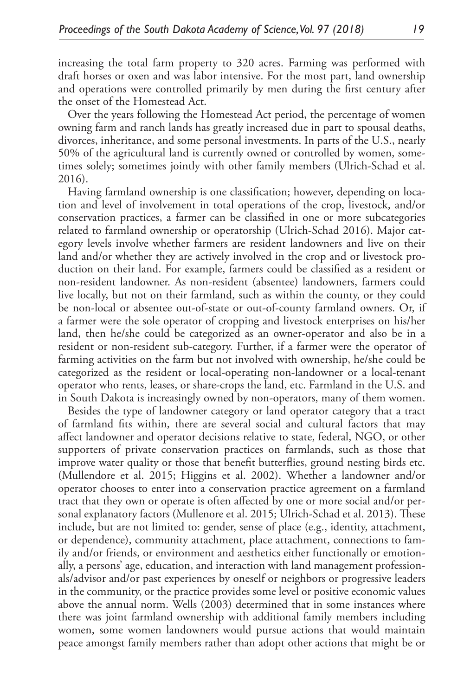increasing the total farm property to 320 acres. Farming was performed with draft horses or oxen and was labor intensive. For the most part, land ownership and operations were controlled primarily by men during the first century after the onset of the Homestead Act.

Over the years following the Homestead Act period, the percentage of women owning farm and ranch lands has greatly increased due in part to spousal deaths, divorces, inheritance, and some personal investments. In parts of the U.S., nearly 50% of the agricultural land is currently owned or controlled by women, sometimes solely; sometimes jointly with other family members (Ulrich-Schad et al. 2016).

Having farmland ownership is one classification; however, depending on location and level of involvement in total operations of the crop, livestock, and/or conservation practices, a farmer can be classified in one or more subcategories related to farmland ownership or operatorship (Ulrich-Schad 2016). Major category levels involve whether farmers are resident landowners and live on their land and/or whether they are actively involved in the crop and or livestock production on their land. For example, farmers could be classified as a resident or non-resident landowner. As non-resident (absentee) landowners, farmers could live locally, but not on their farmland, such as within the county, or they could be non-local or absentee out-of-state or out-of-county farmland owners. Or, if a farmer were the sole operator of cropping and livestock enterprises on his/her land, then he/she could be categorized as an owner-operator and also be in a resident or non-resident sub-category. Further, if a farmer were the operator of farming activities on the farm but not involved with ownership, he/she could be categorized as the resident or local-operating non-landowner or a local-tenant operator who rents, leases, or share-crops the land, etc. Farmland in the U.S. and in South Dakota is increasingly owned by non-operators, many of them women.

Besides the type of landowner category or land operator category that a tract of farmland fits within, there are several social and cultural factors that may affect landowner and operator decisions relative to state, federal, NGO, or other supporters of private conservation practices on farmlands, such as those that improve water quality or those that benefit butterflies, ground nesting birds etc. (Mullendore et al. 2015; Higgins et al. 2002). Whether a landowner and/or operator chooses to enter into a conservation practice agreement on a farmland tract that they own or operate is often affected by one or more social and/or personal explanatory factors (Mullenore et al. 2015; Ulrich-Schad et al. 2013). These include, but are not limited to: gender, sense of place (e.g., identity, attachment, or dependence), community attachment, place attachment, connections to family and/or friends, or environment and aesthetics either functionally or emotionally, a persons' age, education, and interaction with land management professionals/advisor and/or past experiences by oneself or neighbors or progressive leaders in the community, or the practice provides some level or positive economic values above the annual norm. Wells (2003) determined that in some instances where there was joint farmland ownership with additional family members including women, some women landowners would pursue actions that would maintain peace amongst family members rather than adopt other actions that might be or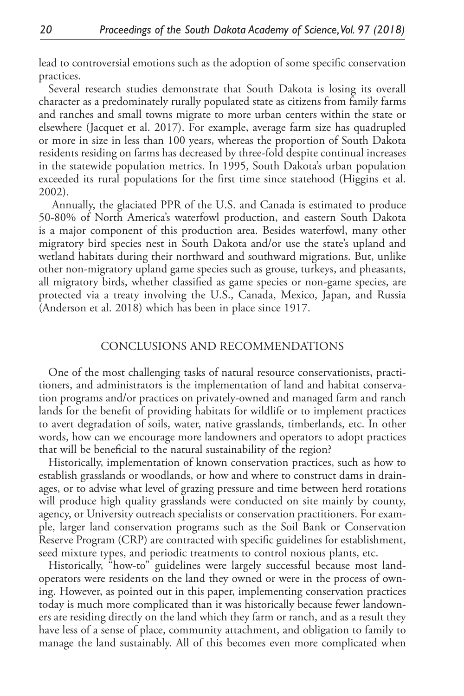lead to controversial emotions such as the adoption of some specific conservation practices.

Several research studies demonstrate that South Dakota is losing its overall character as a predominately rurally populated state as citizens from family farms and ranches and small towns migrate to more urban centers within the state or elsewhere (Jacquet et al. 2017). For example, average farm size has quadrupled or more in size in less than 100 years, whereas the proportion of South Dakota residents residing on farms has decreased by three-fold despite continual increases in the statewide population metrics. In 1995, South Dakota's urban population exceeded its rural populations for the first time since statehood (Higgins et al. 2002).

 Annually, the glaciated PPR of the U.S. and Canada is estimated to produce 50-80% of North America's waterfowl production, and eastern South Dakota is a major component of this production area. Besides waterfowl, many other migratory bird species nest in South Dakota and/or use the state's upland and wetland habitats during their northward and southward migrations. But, unlike other non-migratory upland game species such as grouse, turkeys, and pheasants, all migratory birds, whether classified as game species or non-game species, are protected via a treaty involving the U.S., Canada, Mexico, Japan, and Russia (Anderson et al. 2018) which has been in place since 1917.

### CONCLUSIONS AND RECOMMENDATIONS

One of the most challenging tasks of natural resource conservationists, practitioners, and administrators is the implementation of land and habitat conservation programs and/or practices on privately-owned and managed farm and ranch lands for the benefit of providing habitats for wildlife or to implement practices to avert degradation of soils, water, native grasslands, timberlands, etc. In other words, how can we encourage more landowners and operators to adopt practices that will be beneficial to the natural sustainability of the region?

Historically, implementation of known conservation practices, such as how to establish grasslands or woodlands, or how and where to construct dams in drainages, or to advise what level of grazing pressure and time between herd rotations will produce high quality grasslands were conducted on site mainly by county, agency, or University outreach specialists or conservation practitioners. For example, larger land conservation programs such as the Soil Bank or Conservation Reserve Program (CRP) are contracted with specific guidelines for establishment, seed mixture types, and periodic treatments to control noxious plants, etc.

Historically, "how-to" guidelines were largely successful because most landoperators were residents on the land they owned or were in the process of owning. However, as pointed out in this paper, implementing conservation practices today is much more complicated than it was historically because fewer landowners are residing directly on the land which they farm or ranch, and as a result they have less of a sense of place, community attachment, and obligation to family to manage the land sustainably. All of this becomes even more complicated when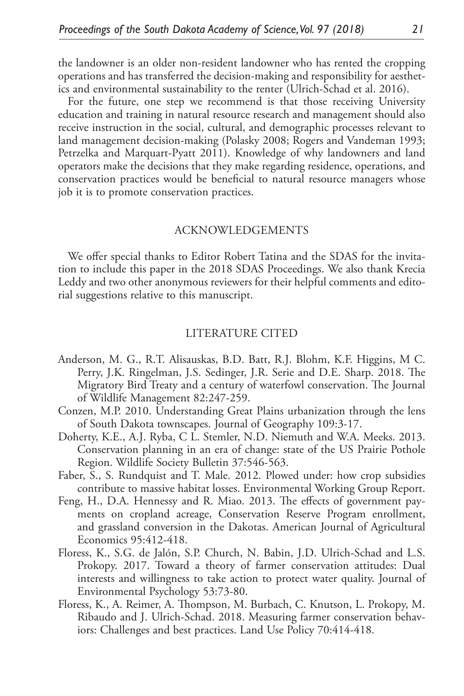the landowner is an older non-resident landowner who has rented the cropping operations and has transferred the decision-making and responsibility for aesthetics and environmental sustainability to the renter (Ulrich-Schad et al. 2016).

For the future, one step we recommend is that those receiving University education and training in natural resource research and management should also receive instruction in the social, cultural, and demographic processes relevant to land management decision-making (Polasky 2008; Rogers and Vandeman 1993; Petrzelka and Marquart-Pyatt 2011). Knowledge of why landowners and land operators make the decisions that they make regarding residence, operations, and conservation practices would be beneficial to natural resource managers whose job it is to promote conservation practices.

#### ACKNOWLEDGEMENTS

We offer special thanks to Editor Robert Tatina and the SDAS for the invitation to include this paper in the 2018 SDAS Proceedings. We also thank Krecia Leddy and two other anonymous reviewers for their helpful comments and editorial suggestions relative to this manuscript.

#### LITERATURE CITED

- Anderson, M. G., R.T. Alisauskas, B.D. Batt, R.J. Blohm, K.F. Higgins, M C. Perry, J.K. Ringelman, J.S. Sedinger, J.R. Serie and D.E. Sharp. 2018. The Migratory Bird Treaty and a century of waterfowl conservation. The Journal of Wildlife Management 82:247-259.
- Conzen, M.P. 2010. Understanding Great Plains urbanization through the lens of South Dakota townscapes. Journal of Geography 109:3-17.
- Doherty, K.E., A.J. Ryba, C L. Stemler, N.D. Niemuth and W.A. Meeks. 2013. Conservation planning in an era of change: state of the US Prairie Pothole Region. Wildlife Society Bulletin 37:546-563.
- Faber, S., S. Rundquist and T. Male. 2012. Plowed under: how crop subsidies contribute to massive habitat losses. Environmental Working Group Report.
- Feng, H., D.A. Hennessy and R. Miao. 2013. The effects of government payments on cropland acreage, Conservation Reserve Program enrollment, and grassland conversion in the Dakotas. American Journal of Agricultural Economics 95:412-418.
- Floress, K., S.G. de Jalón, S.P. Church, N. Babin, J.D. Ulrich-Schad and L.S. Prokopy. 2017. Toward a theory of farmer conservation attitudes: Dual interests and willingness to take action to protect water quality. Journal of Environmental Psychology 53:73-80.
- Floress, K., A. Reimer, A. Thompson, M. Burbach, C. Knutson, L. Prokopy, M. Ribaudo and J. Ulrich-Schad. 2018. Measuring farmer conservation behaviors: Challenges and best practices. Land Use Policy 70:414-418.